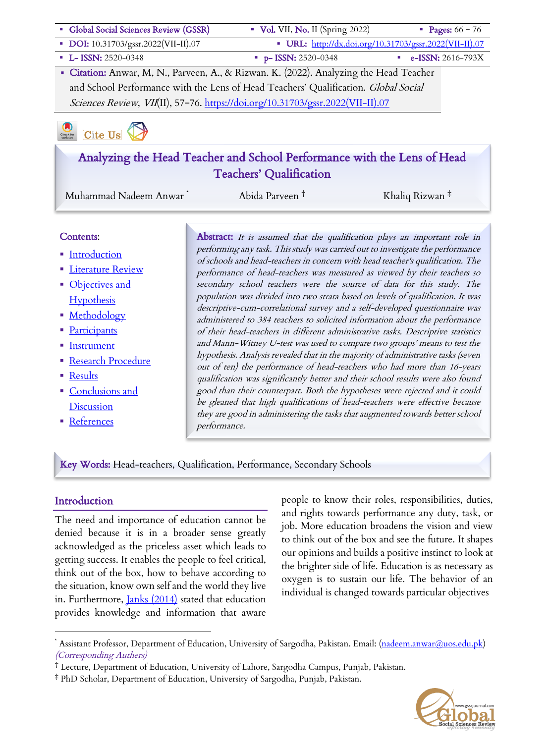| Global Social Sciences Review (GSSR)                                                   | $\bullet$ Vol. VII, No. II (Spring 2022) | <b>Pages:</b> $66 - 76$                                |
|----------------------------------------------------------------------------------------|------------------------------------------|--------------------------------------------------------|
| DOI: 10.31703/gssr.2022(VII-II).07                                                     |                                          | • URL: http://dx.doi.org/10.31703/gssr.2022(VII-II).07 |
| <b>L-ISSN: 2520-0348</b>                                                               | $p-$ ISSN: 2520-0348                     | e-ISSN: 2616-793X                                      |
| • Citation: Anwar, M, N., Parveen, A., & Rizwan. K. (2022). Analyzing the Head Teacher |                                          |                                                        |
| and School Performance with the Lens of Head Teachers' Qualification. Global Social    |                                          |                                                        |
| Sciences Review, VII(II), 57-76. https://doi.org/10.31703/gssr.2022(VII-II).07         |                                          |                                                        |
|                                                                                        |                                          |                                                        |

# Check for Cite Us

# Analyzing the Head Teacher and School Performance with the Lens of Head Teachers' Qualification

Muhammad Nadeem Anwar \* Abida Parveen † Khaliq Rizwan ‡

#### Contents:

- Introduction
- **Eiterature Review**
- Objectives and **Hypothesis**
- **Methodology**
- Participants
- Instrument
- Research Procedure
- Results
- Conclusions and **Discussion**
- References

Abstract: It is assumed that the qualification plays an important role in performing any task. This study was carried out to investigate the performance of schools and head-teachers in concern with head teacher's qualification. The performance of head-teachers was measured as viewed by their teachers so secondary school teachers were the source of data for this study. The population was divided into two strata based on levels of qualification. It was descriptive-cum-correlational survey and a self-developed questionnaire was administered to 384 teachers to solicited information about the performance of their head-teachers in different administrative tasks. Descriptive statistics and Mann-Witney U-test was used to compare two groups' means to test the hypothesis. Analysis revealed that in the majority of administrative tasks (seven out of ten) the performance of head-teachers who had more than 16-years qualification was significantly better and their school results were also found good than their counterpart. Both the hypotheses were rejected and it could be gleaned that high qualifications of head-teachers were effective because they are good in administering the tasks that augmented towards better school performance.

Key Words: Head-teachers, Qualification, Performance, Secondary Schools

## **Introduction**

The need and importance of education cannot be denied because it is in a broader sense greatly acknowledged as the priceless asset which leads to getting success. It enables the people to feel critical, think out of the box, how to behave according to the situation, know own self and the world they live in. Furthermore, *Janks* (2014) stated that education provides knowledge and information that aware

people to know their roles, responsibilities, duties, and rights towards performance any duty, task, or job. More education broadens the vision and view to think out of the box and see the future. It shapes our opinions and builds a positive instinct to look at the brighter side of life. Education is as necessary as oxygen is to sustain our life. The behavior of an individual is changed towards particular objectives



Assistant Professor, Department of Education, University of Sargodha, Pakistan. Email: (nadeem.anwar@uos.edu.pk) (Corresponding Authers)

<sup>†</sup> Lecture, Department of Education, University of Lahore, Sargodha Campus, Punjab, Pakistan.

<sup>‡</sup> PhD Scholar, Department of Education, University of Sargodha, Punjab, Pakistan.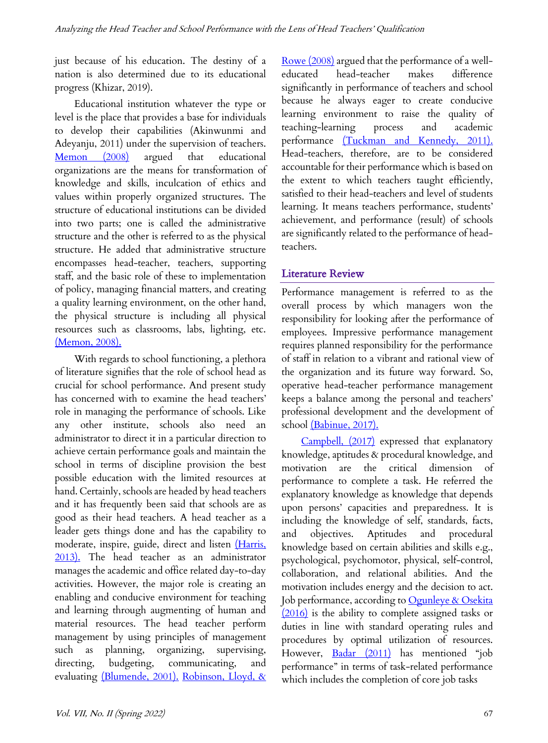just because of his education. The destiny of a nation is also determined due to its educational progress (Khizar, 2019).

Educational institution whatever the type or level is the place that provides a base for individuals to develop their capabilities (Akinwunmi and Adeyanju, 2011) under the supervision of teachers. Memon (2008) argued that educational organizations are the means for transformation of knowledge and skills, inculcation of ethics and values within properly organized structures. The structure of educational institutions can be divided into two parts; one is called the administrative structure and the other is referred to as the physical structure. He added that administrative structure encompasses head-teacher, teachers, supporting staff, and the basic role of these to implementation of policy, managing financial matters, and creating a quality learning environment, on the other hand, the physical structure is including all physical resources such as classrooms, labs, lighting, etc. (Memon, 2008).

With regards to school functioning, a plethora of literature signifies that the role of school head as crucial for school performance. And present study has concerned with to examine the head teachers' role in managing the performance of schools. Like any other institute, schools also need an administrator to direct it in a particular direction to achieve certain performance goals and maintain the school in terms of discipline provision the best possible education with the limited resources at hand. Certainly, schools are headed by head teachers and it has frequently been said that schools are as good as their head teachers. A head teacher as a leader gets things done and has the capability to moderate, inspire, guide, direct and listen (Harris, 2013). The head teacher as an administrator manages the academic and office related day-to-day activities. However, the major role is creating an enabling and conducive environment for teaching and learning through augmenting of human and material resources. The head teacher perform management by using principles of management such as planning, organizing, supervising, directing, budgeting, communicating, and evaluating (Blumende, 2001). Robinson, Lloyd, & Rowe (2008) argued that the performance of a welleducated head-teacher makes difference significantly in performance of teachers and school because he always eager to create conducive learning environment to raise the quality of teaching-learning process and academic performance (Tuckman and Kennedy, 2011). Head-teachers, therefore, are to be considered accountable for their performance which is based on the extent to which teachers taught efficiently, satisfied to their head-teachers and level of students learning. It means teachers performance, students' achievement, and performance (result) of schools are significantly related to the performance of headteachers.

## Literature Review

Performance management is referred to as the overall process by which managers won the responsibility for looking after the performance of employees. Impressive performance management requires planned responsibility for the performance of staff in relation to a vibrant and rational view of the organization and its future way forward. So, operative head-teacher performance management keeps a balance among the personal and teachers' professional development and the development of school (Babinue, 2017).

Campbell, (2017) expressed that explanatory knowledge, aptitudes & procedural knowledge, and motivation are the critical dimension performance to complete a task. He referred the explanatory knowledge as knowledge that depends upon persons' capacities and preparedness. It is including the knowledge of self, standards, facts, and objectives. Aptitudes and procedural knowledge based on certain abilities and skills e.g., psychological, psychomotor, physical, self-control, collaboration, and relational abilities. And the motivation includes energy and the decision to act. Job performance, according to Ogunleye & Osekita (2016) is the ability to complete assigned tasks or duties in line with standard operating rules and procedures by optimal utilization of resources. However, Badar (2011) has mentioned "job performance" in terms of task-related performance which includes the completion of core job tasks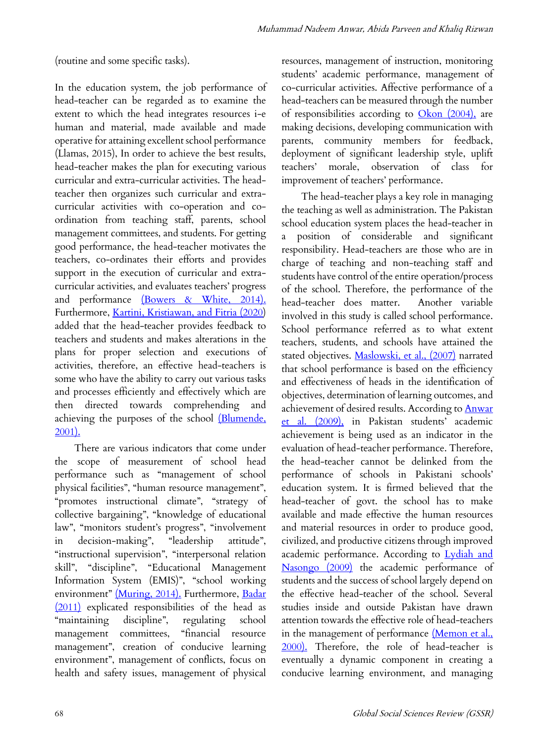(routine and some specific tasks).

In the education system, the job performance of head-teacher can be regarded as to examine the extent to which the head integrates resources i-e human and material, made available and made operative for attaining excellent school performance (Llamas, 2015), In order to achieve the best results, head-teacher makes the plan for executing various curricular and extra-curricular activities. The headteacher then organizes such curricular and extracurricular activities with co-operation and coordination from teaching staff, parents, school management committees, and students. For getting good performance, the head-teacher motivates the teachers, co-ordinates their efforts and provides support in the execution of curricular and extracurricular activities, and evaluates teachers' progress and performance (Bowers & White, 2014). Furthermore, *Kartini*, *Kristiawan*, and Fitria (2020) added that the head-teacher provides feedback to teachers and students and makes alterations in the plans for proper selection and executions of activities, therefore, an effective head-teachers is some who have the ability to carry out various tasks and processes efficiently and effectively which are then directed towards comprehending and achieving the purposes of the school (Blumende, 2001).

There are various indicators that come under the scope of measurement of school head performance such as "management of school physical facilities", "human resource management", "promotes instructional climate", "strategy of collective bargaining", "knowledge of educational law", "monitors student's progress", "involvement in decision-making", "leadership attitude", "instructional supervision", "interpersonal relation skill", "discipline", "Educational Management Information System (EMIS)", "school working environment" (Muring, 2014). Furthermore, Badar (2011) explicated responsibilities of the head as "maintaining discipline", regulating school management committees, "financial resource management", creation of conducive learning environment", management of conflicts, focus on health and safety issues, management of physical resources, management of instruction, monitoring students' academic performance, management of co-curricular activities. Affective performance of a head-teachers can be measured through the number of responsibilities according to  $Okon (2004)$ , are making decisions, developing communication with parents, community members for feedback, deployment of significant leadership style, uplift teachers' morale, observation of class for improvement of teachers' performance.

The head-teacher plays a key role in managing the teaching as well as administration. The Pakistan school education system places the head-teacher in a position of considerable and significant responsibility. Head-teachers are those who are in charge of teaching and non-teaching staff and students have control of the entire operation/process of the school. Therefore, the performance of the head-teacher does matter. Another variable involved in this study is called school performance. School performance referred as to what extent teachers, students, and schools have attained the stated objectives. Maslowski, et al., (2007) narrated that school performance is based on the efficiency and effectiveness of heads in the identification of objectives, determination of learning outcomes, and achievement of desired results. According to Anwar et al. (2009), in Pakistan students' academic achievement is being used as an indicator in the evaluation of head-teacher performance. Therefore, the head-teacher cannot be delinked from the performance of schools in Pakistani schools' education system. It is firmed believed that the head-teacher of govt. the school has to make available and made effective the human resources and material resources in order to produce good, civilized, and productive citizens through improved academic performance. According to Lydiah and Nasongo (2009) the academic performance of students and the success of school largely depend on the effective head-teacher of the school. Several studies inside and outside Pakistan have drawn attention towards the effective role of head-teachers in the management of performance (Memon et al., 2000). Therefore, the role of head-teacher is eventually a dynamic component in creating a conducive learning environment, and managing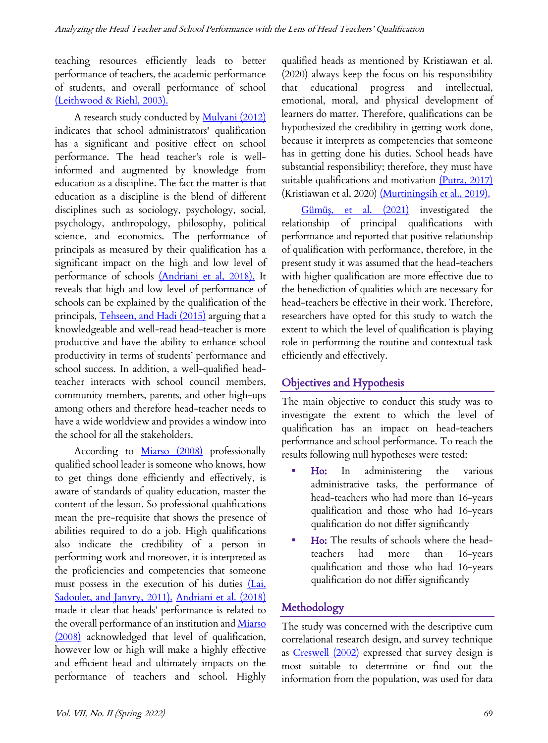teaching resources efficiently leads to better performance of teachers, the academic performance of students, and overall performance of school (Leithwood & Riehl, 2003).

A research study conducted by Mulyani (2012) indicates that school administrators' qualification has a significant and positive effect on school performance. The head teacher's role is wellinformed and augmented by knowledge from education as a discipline. The fact the matter is that education as a discipline is the blend of different disciplines such as sociology, psychology, social, psychology, anthropology, philosophy, political science, and economics. The performance of principals as measured by their qualification has a significant impact on the high and low level of performance of schools (Andriani et al, 2018). It reveals that high and low level of performance of schools can be explained by the qualification of the principals, Tehseen, and Hadi (2015) arguing that a knowledgeable and well-read head-teacher is more productive and have the ability to enhance school productivity in terms of students' performance and school success. In addition, a well-qualified headteacher interacts with school council members, community members, parents, and other high-ups among others and therefore head-teacher needs to have a wide worldview and provides a window into the school for all the stakeholders.

According to Miarso (2008) professionally qualified school leader is someone who knows, how to get things done efficiently and effectively, is aware of standards of quality education, master the content of the lesson. So professional qualifications mean the pre-requisite that shows the presence of abilities required to do a job. High qualifications also indicate the credibility of a person in performing work and moreover, it is interpreted as the proficiencies and competencies that someone must possess in the execution of his duties (Lai, Sadoulet, and Janvry, 2011). Andriani et al. (2018) made it clear that heads' performance is related to the overall performance of an institution and Miarso (2008) acknowledged that level of qualification, however low or high will make a highly effective and efficient head and ultimately impacts on the performance of teachers and school. Highly qualified heads as mentioned by Kristiawan et al. (2020) always keep the focus on his responsibility that educational progress and intellectual, emotional, moral, and physical development of learners do matter. Therefore, qualifications can be hypothesized the credibility in getting work done, because it interprets as competencies that someone has in getting done his duties. School heads have substantial responsibility; therefore, they must have suitable qualifications and motivation (Putra, 2017) (Kristiawan et al, 2020) (Murtiningsih et al., 2019).

Gümüş, et al. (2021) investigated the relationship of principal qualifications with performance and reported that positive relationship of qualification with performance, therefore, in the present study it was assumed that the head-teachers with higher qualification are more effective due to the benediction of qualities which are necessary for head-teachers be effective in their work. Therefore, researchers have opted for this study to watch the extent to which the level of qualification is playing role in performing the routine and contextual task efficiently and effectively.

# Objectives and Hypothesis

The main objective to conduct this study was to investigate the extent to which the level of qualification has an impact on head-teachers performance and school performance. To reach the results following null hypotheses were tested:

- § Ho: In administering the various administrative tasks, the performance of head-teachers who had more than 16-years qualification and those who had 16-years qualification do not differ significantly
- § Ho: The results of schools where the headteachers had more than 16-years qualification and those who had 16-years qualification do not differ significantly

# Methodology

The study was concerned with the descriptive cum correlational research design, and survey technique as Creswell (2002) expressed that survey design is most suitable to determine or find out the information from the population, was used for data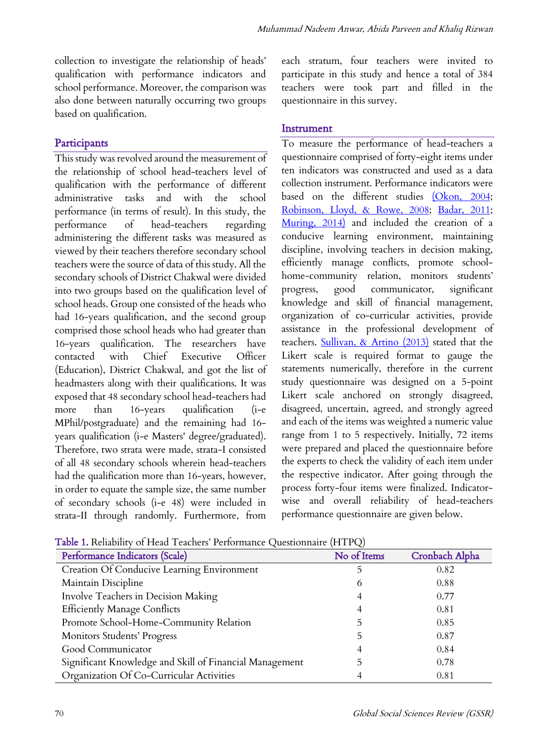collection to investigate the relationship of heads' qualification with performance indicators and school performance. Moreover, the comparison was also done between naturally occurring two groups based on qualification.

## **Participants**

This study was revolved around the measurement of the relationship of school head-teachers level of qualification with the performance of different administrative tasks and with the school performance (in terms of result). In this study, the performance of head-teachers regarding administering the different tasks was measured as viewed by their teachers therefore secondary school teachers were the source of data of this study. All the secondary schools of District Chakwal were divided into two groups based on the qualification level of school heads. Group one consisted of the heads who had 16-years qualification, and the second group comprised those school heads who had greater than 16-years qualification. The researchers have contacted with Chief Executive Officer (Education), District Chakwal, and got the list of headmasters along with their qualifications. It was exposed that 48 secondary school head-teachers had more than 16-years qualification (i-e MPhil/postgraduate) and the remaining had 16 years qualification (i-e Masters' degree/graduated). Therefore, two strata were made, strata-I consisted of all 48 secondary schools wherein head-teachers had the qualification more than 16-years, however, in order to equate the sample size, the same number of secondary schools (i-e 48) were included in strata-II through randomly. Furthermore, from each stratum, four teachers were invited to participate in this study and hence a total of 384 teachers were took part and filled in the questionnaire in this survey.

#### **Instrument**

To measure the performance of head-teachers a questionnaire comprised of forty-eight items under ten indicators was constructed and used as a data collection instrument. Performance indicators were based on the different studies (Okon, 2004; Robinson, Lloyd, & Rowe, 2008; Badar, 2011; Muring, 2014) and included the creation of a conducive learning environment, maintaining discipline, involving teachers in decision making, efficiently manage conflicts, promote schoolhome-community relation, monitors students' progress, good communicator, significant knowledge and skill of financial management, organization of co-curricular activities, provide assistance in the professional development of teachers. Sullivan, & Artino (2013) stated that the Likert scale is required format to gauge the statements numerically, therefore in the current study questionnaire was designed on a 5-point Likert scale anchored on strongly disagreed, disagreed, uncertain, agreed, and strongly agreed and each of the items was weighted a numeric value range from 1 to 5 respectively. Initially, 72 items were prepared and placed the questionnaire before the experts to check the validity of each item under the respective indicator. After going through the process forty-four items were finalized. Indicatorwise and overall reliability of head-teachers performance questionnaire are given below.

| <b>Table 1.</b> Reliability of Head Teachers' Performance Questionnaire (HTPQ) |             |                |  |  |
|--------------------------------------------------------------------------------|-------------|----------------|--|--|
| Performance Indicators (Scale)                                                 | No of Items | Cronbach Alpha |  |  |
| Creation Of Conducive Learning Environment                                     | 5           | 0.82           |  |  |
| Maintain Discipline                                                            | O           | 0.88           |  |  |
| Involve Teachers in Decision Making                                            |             | 0.77           |  |  |
| <b>Efficiently Manage Conflicts</b>                                            |             | 0.81           |  |  |
| Promote School-Home-Community Relation                                         | 5           | 0.85           |  |  |
| Monitors Students' Progress                                                    |             | 0.87           |  |  |
| Good Communicator                                                              |             | 0.84           |  |  |
| Significant Knowledge and Skill of Financial Management                        |             | 0.78           |  |  |
| Organization Of Co-Curricular Activities                                       |             | 0.81           |  |  |

Table 1. Reliability of Head Teachers' Performance Questionnaire (HTPQ)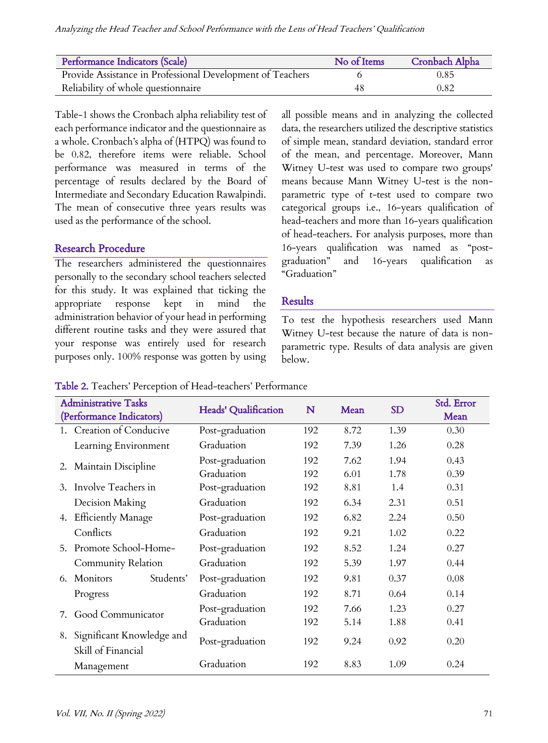| Performance Indicators (Scale)                             | No of Items | <b>Cronbach Alpha</b> |
|------------------------------------------------------------|-------------|-----------------------|
| Provide Assistance in Professional Development of Teachers |             | 0.85                  |
| Reliability of whole questionnaire                         | 48          | 0.82                  |

Table-1 shows the Cronbach alpha reliability test of each performance indicator and the questionnaire as a whole. Cronbach's alpha of (HTPQ) was found to be 0.82, therefore items were reliable. School performance was measured in terms of the percentage of results declared by the Board of Intermediate and Secondary Education Rawalpindi. The mean of consecutive three years results was used as the performance of the school.

## Research Procedure

The researchers administered the questionnaires personally to the secondary school teachers selected for this study. It was explained that ticking the appropriate response kept in mind the administration behavior of your head in performing different routine tasks and they were assured that your response was entirely used for research purposes only. 100% response was gotten by using all possible means and in analyzing the collected data, the researchers utilized the descriptive statistics of simple mean, standard deviation, standard error of the mean, and percentage. Moreover, Mann Witney U-test was used to compare two groups' means because Mann Witney U-test is the nonparametric type of t-test used to compare two categorical groups i.e., 16-years qualification of head-teachers and more than 16-years qualification of head-teachers. For analysis purposes, more than 16-years qualification was named as "postgraduation" and 16-years qualification as "Graduation"

## Results

To test the hypothesis researchers used Mann Witney U-test because the nature of data is nonparametric type. Results of data analysis are given below.

#### Table 2. Teachers' Perception of Head-teachers' Performance

| <b>Administrative Tasks</b><br>(Performance Indicators) |                                                 | <b>Heads' Qualification</b>   | N          | Mean         | <b>SD</b>    | Std. Error<br>Mean |
|---------------------------------------------------------|-------------------------------------------------|-------------------------------|------------|--------------|--------------|--------------------|
|                                                         | 1. Creation of Conducive                        | Post-graduation               | 192        | 8.72         | 1.39         | 0.30               |
|                                                         | Learning Environment                            | Graduation                    | 192        | 7.39         | 1.26         | 0.28               |
| 2.                                                      | Maintain Discipline                             | Post-graduation<br>Graduation | 192<br>192 | 7.62<br>6.01 | 1.94<br>1.78 | 0.43<br>0.39       |
| 3.                                                      | Involve Teachers in                             | Post-graduation               | 192        | 8.81         | 1.4          | 0.31               |
|                                                         | Decision Making                                 | Graduation                    | 192        | 6.34         | 2.31         | 0.51               |
| 4.                                                      | <b>Efficiently Manage</b>                       | Post-graduation               | 192        | 6.82         | 2.24         | 0.50               |
|                                                         | Conflicts                                       | Graduation                    | 192        | 9.21         | 1.02         | 0.22               |
| 5.                                                      | Promote School-Home-                            | Post-graduation               | 192        | 8.52         | 1.24         | 0.27               |
|                                                         | Community Relation                              | Graduation                    | 192        | 5.39         | 1.97         | 0.44               |
| 6.                                                      | Students'<br><b>Monitors</b>                    | Post-graduation               | 192        | 9.81         | 0.37         | 0.08               |
|                                                         | Progress                                        | Graduation                    | 192        | 8.71         | 0.64         | 0.14               |
| 7.                                                      | Good Communicator                               | Post-graduation               | 192        | 7.66         | 1.23         | 0.27               |
|                                                         |                                                 | Graduation                    | 192        | 5.14         | 1.88         | 0.41               |
| 8.                                                      | Significant Knowledge and<br>Skill of Financial | Post-graduation               | 192        | 9.24         | 0.92         | 0.20               |
|                                                         | Management                                      | Graduation                    | 192        | 8.83         | 1.09         | 0.24               |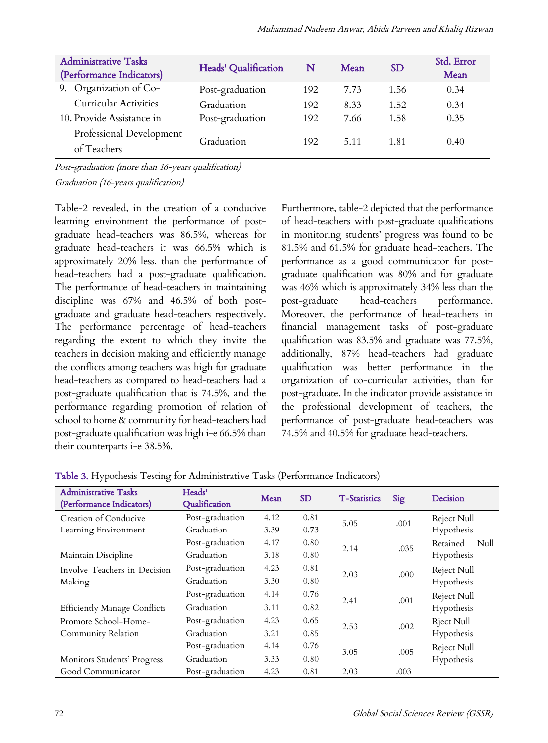| <b>Administrative Tasks</b><br>(Performance Indicators) | Heads' Qualification | N   | Mean | <b>SD</b> | Std. Error<br>Mean |
|---------------------------------------------------------|----------------------|-----|------|-----------|--------------------|
| 9. Organization of Co-                                  | Post-graduation      | 192 | 7.73 | 1.56      | 0.34               |
| <b>Curricular Activities</b>                            | Graduation           | 192 | 8.33 | 1.52      | 0.34               |
| 10. Provide Assistance in                               | Post-graduation      | 192 | 7.66 | 1.58      | 0.35               |
| Professional Development<br>of Teachers                 | Graduation           | 192 | 5.11 | 1.81      | 0.40               |

Post-graduation (more than 16-years qualification) Graduation (16-years qualification)

Table-2 revealed, in the creation of a conducive learning environment the performance of postgraduate head-teachers was 86.5%, whereas for graduate head-teachers it was 66.5% which is approximately 20% less, than the performance of head-teachers had a post-graduate qualification. The performance of head-teachers in maintaining discipline was 67% and 46.5% of both postgraduate and graduate head-teachers respectively. The performance percentage of head-teachers regarding the extent to which they invite the teachers in decision making and efficiently manage the conflicts among teachers was high for graduate head-teachers as compared to head-teachers had a post-graduate qualification that is 74.5%, and the performance regarding promotion of relation of school to home & community for head-teachers had post-graduate qualification was high i-e 66.5% than their counterparts i-e 38.5%.

Furthermore, table-2 depicted that the performance of head-teachers with post-graduate qualifications in monitoring students' progress was found to be 81.5% and 61.5% for graduate head-teachers. The performance as a good communicator for postgraduate qualification was 80% and for graduate was 46% which is approximately 34% less than the post-graduate head-teachers performance. Moreover, the performance of head-teachers in financial management tasks of post-graduate qualification was 83.5% and graduate was 77.5%, additionally, 87% head-teachers had graduate qualification was better performance in the organization of co-curricular activities, than for post-graduate. In the indicator provide assistance in the professional development of teachers, the performance of post-graduate head-teachers was 74.5% and 40.5% for graduate head-teachers.

| <b>Administrative Tasks</b><br>(Performance Indicators) | Heads'<br>Qualification | Mean | <b>SD</b> | <b>T-Statistics</b> | Sig  | Decision          |
|---------------------------------------------------------|-------------------------|------|-----------|---------------------|------|-------------------|
| Creation of Conducive                                   | Post-graduation         | 4.12 | 0.81      | 5.05                | .001 | Reject Null       |
| Learning Environment                                    | Graduation              | 3.39 | 0.73      |                     |      | Hypothesis        |
|                                                         | Post-graduation         | 4.17 | 0.80      | 2.14                |      | Retained<br>Null  |
| Maintain Discipline                                     | Graduation              | 3.18 | 0.80      |                     | .035 | Hypothesis        |
| Involve Teachers in Decision                            | Post-graduation         | 4.23 | 0.81      |                     | .000 | Reject Null       |
| Making                                                  | Graduation              | 3.30 | 0.80      | 2.03                |      | Hypothesis        |
|                                                         | Post-graduation         | 4.14 | 0.76      |                     |      | Reject Null       |
| <b>Efficiently Manage Conflicts</b>                     | Graduation              | 3.11 | 0.82      | 2.41                | .001 | Hypothesis        |
| Promote School-Home-                                    | Post-graduation         | 4.23 | 0.65      | 2.53                | .002 | <b>Rject Null</b> |
| Community Relation                                      | Graduation              | 3.21 | 0.85      |                     |      | Hypothesis        |
|                                                         | Post-graduation         | 4.14 | 0.76      |                     |      | Reject Null       |
| Monitors Students' Progress                             | Graduation              | 3.33 | 0.80      | 3.05                | .005 | Hypothesis        |
| Good Communicator                                       | Post-graduation         | 4.23 | 0.81      | 2.03                | .003 |                   |

Table 3. Hypothesis Testing for Administrative Tasks (Performance Indicators)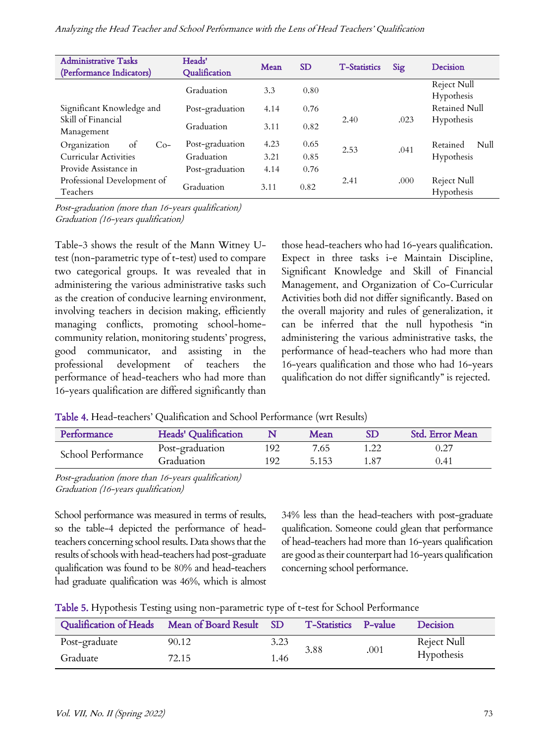| <b>Administrative Tasks</b><br>(Performance Indicators) | Heads'<br>Qualification | Mean | <b>SD</b> | <b>T-Statistics</b> | Sig  | Decision                    |
|---------------------------------------------------------|-------------------------|------|-----------|---------------------|------|-----------------------------|
|                                                         | Graduation              | 3.3  | 0.80      |                     |      | Reject Null<br>Hypothesis   |
| Significant Knowledge and                               | Post-graduation         | 4.14 | 0.76      |                     |      | Retained Null               |
| Skill of Financial<br>Management                        | Graduation              | 3.11 | 0.82      | 2.40                | .023 | Hypothesis                  |
| Organization<br>$Co-$<br>ot                             | Post-graduation         | 4.23 | 0.65      | 2.53                | .041 | Retained<br>$\mathrm{Null}$ |
| <b>Curricular Activities</b>                            | Graduation              | 3.21 | 0.85      |                     |      | Hypothesis                  |
| Provide Assistance in                                   | Post-graduation         | 4.14 | 0.76      |                     |      |                             |
| Professional Development of<br>Teachers                 | Graduation              | 3.11 | 0.82      | 2.41                | .000 | Reject Null<br>Hypothesis   |

Post-graduation (more than 16-years qualification) Graduation (16-years qualification)

Table-3 shows the result of the Mann Witney Utest (non-parametric type of t-test) used to compare two categorical groups. It was revealed that in administering the various administrative tasks such as the creation of conducive learning environment, involving teachers in decision making, efficiently managing conflicts, promoting school-homecommunity relation, monitoring students' progress, good communicator, and assisting in the professional development of teachers the performance of head-teachers who had more than 16-years qualification are differed significantly than

those head-teachers who had 16-years qualification. Expect in three tasks i-e Maintain Discipline, Significant Knowledge and Skill of Financial Management, and Organization of Co-Curricular Activities both did not differ significantly. Based on the overall majority and rules of generalization, it can be inferred that the null hypothesis "in administering the various administrative tasks, the performance of head-teachers who had more than 16-years qualification and those who had 16-years qualification do not differ significantly" is rejected.

Table 4. Head-teachers' Qualification and School Performance (wrt Results)

| Performance        | Heads' Qualification |     | <b>Mean</b> | SD   | Std. Error Mean |
|--------------------|----------------------|-----|-------------|------|-----------------|
| School Performance | Post-graduation      | 192 | 7.65        |      | 0.27            |
|                    | Graduation           | 192 | 5.153       | 1.87 | 0.41            |

Post-graduation (more than 16-years qualification) Graduation (16-years qualification)

School performance was measured in terms of results, so the table-4 depicted the performance of headteachers concerning school results. Data shows that the results of schools with head-teachers had post-graduate qualification was found to be 80% and head-teachers had graduate qualification was 46%, which is almost

34% less than the head-teachers with post-graduate qualification. Someone could glean that performance of head-teachers had more than 16-years qualification are good as their counterpart had 16-years qualification concerning school performance.

|  |  | Table 5. Hypothesis Testing using non-parametric type of t-test for School Performance |
|--|--|----------------------------------------------------------------------------------------|
|  |  |                                                                                        |

| Qualification of Heads Mean of Board Result |       | SD <sup>1</sup> | T-Statistics P-value |      | Decision    |
|---------------------------------------------|-------|-----------------|----------------------|------|-------------|
| Post-graduate                               | 90.12 | 3.23            | 3.88                 | .001 | Reject Null |
| Graduate                                    | 72.15 | 1.46            |                      |      | Hypothesis  |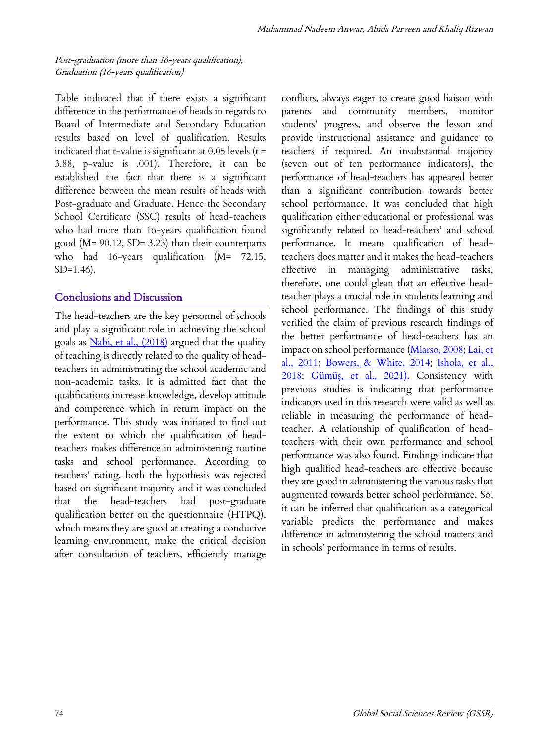Post-graduation (more than 16-years qualification), Graduation (16-years qualification)

Table indicated that if there exists a significant difference in the performance of heads in regards to Board of Intermediate and Secondary Education results based on level of qualification. Results indicated that t-value is significant at  $0.05$  levels ( $t =$ 3.88, p-value is .001). Therefore, it can be established the fact that there is a significant difference between the mean results of heads with Post-graduate and Graduate. Hence the Secondary School Certificate (SSC) results of head-teachers who had more than 16-years qualification found good (M= 90.12, SD= 3.23) than their counterparts who had 16-years qualification (M= 72.15, SD=1.46).

#### Conclusions and Discussion

The head-teachers are the key personnel of schools and play a significant role in achieving the school goals as *Nabi, et al., (2018)* argued that the quality of teaching is directly related to the quality of headteachers in administrating the school academic and non-academic tasks. It is admitted fact that the qualifications increase knowledge, develop attitude and competence which in return impact on the performance. This study was initiated to find out the extent to which the qualification of headteachers makes difference in administering routine tasks and school performance. According to teachers' rating, both the hypothesis was rejected based on significant majority and it was concluded that the head-teachers had post-graduate qualification better on the questionnaire (HTPQ), which means they are good at creating a conducive learning environment, make the critical decision after consultation of teachers, efficiently manage conflicts, always eager to create good liaison with parents and community members, monitor students' progress, and observe the lesson and provide instructional assistance and guidance to teachers if required. An insubstantial majority (seven out of ten performance indicators), the performance of head-teachers has appeared better than a significant contribution towards better school performance. It was concluded that high qualification either educational or professional was significantly related to head-teachers' and school performance. It means qualification of headteachers does matter and it makes the head-teachers effective in managing administrative tasks, therefore, one could glean that an effective headteacher plays a crucial role in students learning and school performance. The findings of this study verified the claim of previous research findings of the better performance of head-teachers has an impact on school performance (Miarso, 2008; Lai, et al., 2011; Bowers, & White, 2014; Ishola, et al., 2018; Gümüş, et al., 2021). Consistency with previous studies is indicating that performance indicators used in this research were valid as well as reliable in measuring the performance of headteacher. A relationship of qualification of headteachers with their own performance and school performance was also found. Findings indicate that high qualified head-teachers are effective because they are good in administering the various tasks that augmented towards better school performance. So, it can be inferred that qualification as a categorical variable predicts the performance and makes difference in administering the school matters and in schools' performance in terms of results.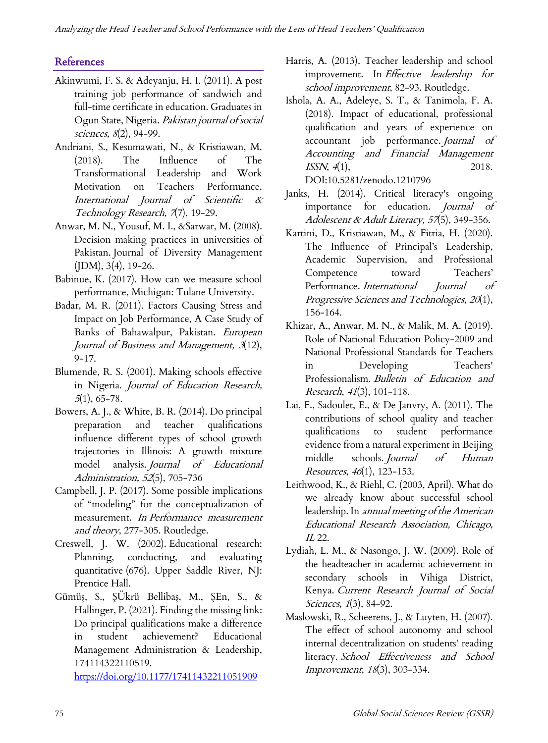# References

- Akinwumi, F. S. & Adeyanju, H. I. (2011). A post training job performance of sandwich and full-time certificate in education. Graduates in Ogun State, Nigeria. Pakistan journal of social sciences, 8(2), 94-99.
- Andriani, S., Kesumawati, N., & Kristiawan, M. (2018). The Influence of The Transformational Leadership and Work Motivation on Teachers Performance. International Journal of Scientific & Technology Research, 7(7), 19-29.
- Anwar, M. N., Yousuf, M. I., &Sarwar, M. (2008). Decision making practices in universities of Pakistan. Journal of Diversity Management  $(IDM), 3(4), 19-26.$
- Babinue, K. (2017). How can we measure school performance, Michigan: Tulane University.
- Badar, M. R. (2011). Factors Causing Stress and Impact on Job Performance, A Case Study of Banks of Bahawalpur, Pakistan. European Journal of Business and Management, 3(12), 9-17.
- Blumende, R. S. (2001). Making schools effective in Nigeria. Journal of Education Research,  $5(1), 65-78.$
- Bowers, A. J., & White, B. R. (2014). Do principal preparation and teacher qualifications influence different types of school growth trajectories in Illinois: A growth mixture model analysis. Journal of Educational Administration, <sup>52</sup>(5), 705-736
- Campbell, J. P. (2017). Some possible implications of "modeling" for the conceptualization of measurement. In Performance measurement and theory, 277-305. Routledge.
- Creswell, J. W. (2002). Educational research: Planning, conducting, and evaluating quantitative (676). Upper Saddle River, NJ: Prentice Hall.
- Gümüş, S., ŞÜkrü Bellibaş, M., ŞEn, S., & Hallinger, P. (2021). Finding the missing link: Do principal qualifications make a difference in student achievement? Educational Management Administration & Leadership, 174114322110519.

https://doi.org/10.1177/17411432211051909

- Harris, A. (2013). Teacher leadership and school improvement. In Effective leadership for school improvement, 82-93. Routledge.
- Ishola, A. A., Adeleye, S. T., & Tanimola, F. A. (2018). Impact of educational, professional qualification and years of experience on accountant job performance. Journal of Accounting and Financial Management ISSN,  $4(1)$ , 2018. DOI:10.5281/zenodo.1210796
- Janks, H. (2014). Critical literacy's ongoing importance for education. Journal of Adolescent & Adult Literacy, 57(5), 349-356.
- Kartini, D., Kristiawan, M., & Fitria, H. (2020). The Influence of Principal's Leadership, Academic Supervision, and Professional Competence toward Teachers' Performance. International Journal of Progressive Sciences and Technologies, <sup>20</sup>(1), 156-164.
- Khizar, A., Anwar, M. N., & Malik, M. A. (2019). Role of National Education Policy-2009 and National Professional Standards for Teachers in Developing Teachers' Professionalism. Bulletin of Education and Research, <sup>41</sup>(3), 101-118.
- Lai, F., Sadoulet, E., & De Janvry, A. (2011). The contributions of school quality and teacher qualifications to student performance evidence from a natural experiment in Beijing middle schools. Journal of Human Resources, <sup>46</sup>(1), 123-153.
- Leithwood, K., & Riehl, C. (2003, April). What do we already know about successful school leadership. In annual meeting of the American Educational Research Association, Chicago, IL 22.
- Lydiah, L. M., & Nasongo, J. W. (2009). Role of the headteacher in academic achievement in secondary schools in Vihiga District, Kenya. Current Research Journal of Social Sciences, 1(3), 84-92.
- Maslowski, R., Scheerens, J., & Luyten, H. (2007). The effect of school autonomy and school internal decentralization on students' reading literacy. School Effectiveness and School Improvement, <sup>18</sup>(3), 303-334.